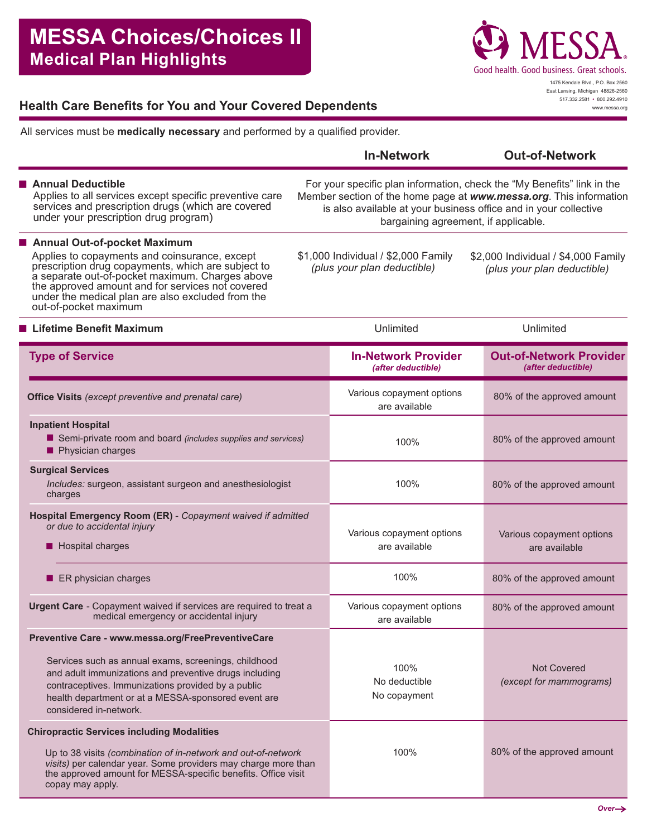

www.messa.org

# **Health Care Benefits for You and Your Covered Dependents**

All services must be **medically necessary** and performed by a qualified provider.

|                                                                                                                                                                                                                                                                                          |                                                                                                                                                                                                                                                           | <b>In-Network</b>                                                  | <b>Out-of-Network</b>                                              |
|------------------------------------------------------------------------------------------------------------------------------------------------------------------------------------------------------------------------------------------------------------------------------------------|-----------------------------------------------------------------------------------------------------------------------------------------------------------------------------------------------------------------------------------------------------------|--------------------------------------------------------------------|--------------------------------------------------------------------|
| Annual Deductible<br>Applies to all services except specific preventive care<br>services and prescription drugs (which are covered<br>under your prescription drug program)                                                                                                              | For your specific plan information, check the "My Benefits" link in the<br>Member section of the home page at www.messa.org. This information<br>is also available at your business office and in your collective<br>bargaining agreement, if applicable. |                                                                    |                                                                    |
| ■ Annual Out-of-pocket Maximum                                                                                                                                                                                                                                                           |                                                                                                                                                                                                                                                           |                                                                    |                                                                    |
| Applies to copayments and coinsurance, except<br>prescription drug copayments, which are subject to<br>a separate out-of-pocket maximum. Charges above<br>the approved amount and for services not covered<br>under the medical plan are also excluded from the<br>out-of-pocket maximum |                                                                                                                                                                                                                                                           | \$1,000 Individual / \$2,000 Family<br>(plus your plan deductible) | \$2,000 Individual / \$4,000 Family<br>(plus your plan deductible) |
| <b>Lifetime Benefit Maximum</b>                                                                                                                                                                                                                                                          |                                                                                                                                                                                                                                                           | Unlimited                                                          | Unlimited                                                          |
| <b>Type of Service</b>                                                                                                                                                                                                                                                                   |                                                                                                                                                                                                                                                           | <b>In-Network Provider</b><br>(after deductible)                   | <b>Out-of-Network Provider</b><br>(after deductible)               |
| <b>Office Visits</b> (except preventive and prenatal care)                                                                                                                                                                                                                               |                                                                                                                                                                                                                                                           | Various copayment options<br>are available                         | 80% of the approved amount                                         |
| <b>Inpatient Hospital</b><br>Semi-private room and board (includes supplies and services)<br>Physician charges                                                                                                                                                                           |                                                                                                                                                                                                                                                           | 100%                                                               | 80% of the approved amount                                         |
| <b>Surgical Services</b><br>Includes: surgeon, assistant surgeon and anesthesiologist<br>charges                                                                                                                                                                                         |                                                                                                                                                                                                                                                           | 100%                                                               | 80% of the approved amount                                         |
| Hospital Emergency Room (ER) - Copayment waived if admitted<br>or due to accidental injury<br>Hospital charges                                                                                                                                                                           |                                                                                                                                                                                                                                                           | Various copayment options<br>are available                         | Various copayment options<br>are available                         |
| ER physician charges                                                                                                                                                                                                                                                                     |                                                                                                                                                                                                                                                           | 100%                                                               | 80% of the approved amount                                         |
| Urgent Care - Copayment waived if services are required to treat a<br>medical emergency or accidental injury                                                                                                                                                                             |                                                                                                                                                                                                                                                           | Various copayment options<br>are available                         | 80% of the approved amount                                         |
| Preventive Care - www.messa.org/FreePreventiveCare                                                                                                                                                                                                                                       |                                                                                                                                                                                                                                                           |                                                                    |                                                                    |
| Services such as annual exams, screenings, childhood<br>and adult immunizations and preventive drugs including<br>contraceptives. Immunizations provided by a public<br>health department or at a MESSA-sponsored event are<br>considered in-network.                                    |                                                                                                                                                                                                                                                           | 100%<br>No deductible<br>No copayment                              | <b>Not Covered</b><br>(except for mammograms)                      |
| <b>Chiropractic Services including Modalities</b>                                                                                                                                                                                                                                        |                                                                                                                                                                                                                                                           |                                                                    |                                                                    |
| Up to 38 visits (combination of in-network and out-of-network<br>visits) per calendar year. Some providers may charge more than<br>the approved amount for MESSA-specific benefits. Office visit<br>copay may apply.                                                                     |                                                                                                                                                                                                                                                           | 100%                                                               | 80% of the approved amount                                         |